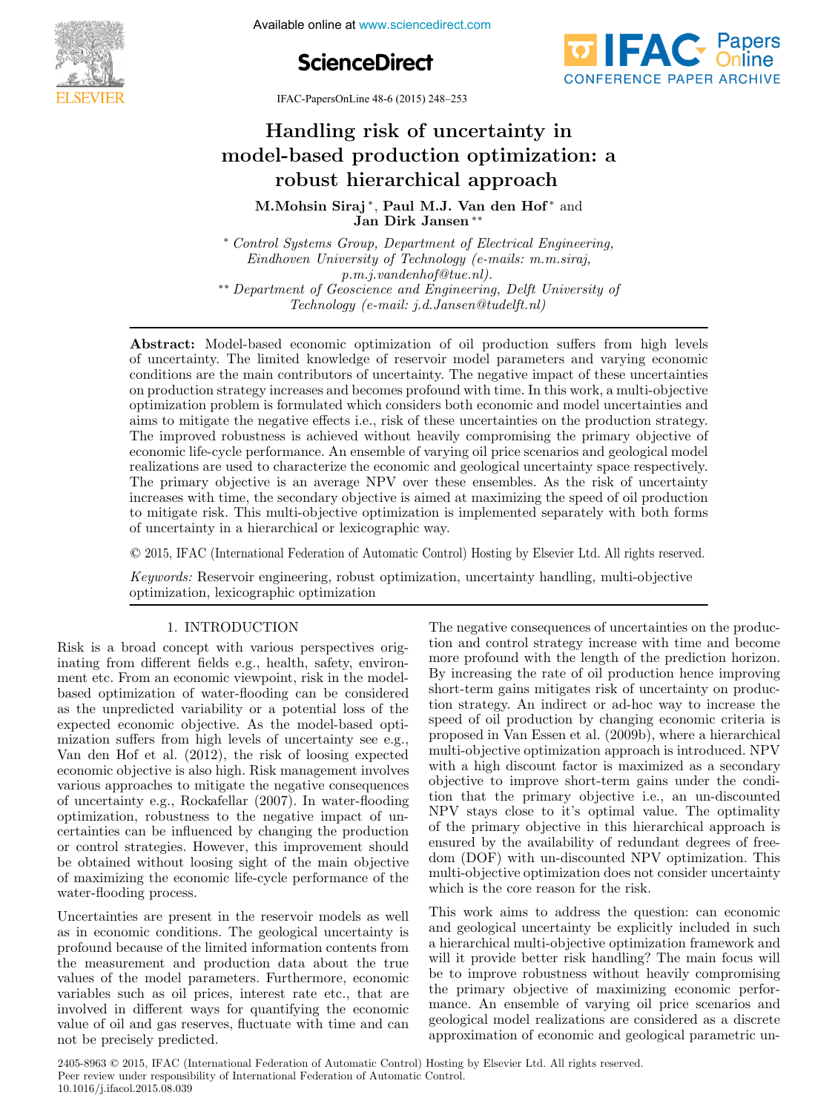





IFAC-PapersOnLine 48-6 (2015) 248–253

# Handling risk of uncertainty in model-based production optimization: a robust hierarchical approach robust hierarchical approach robust hierarchical approach  $H = \frac{1}{200}$  $M M + N$  and  $N$  and  $N$  and  $N$  and  $N$  and  $N$  and  $N$  and  $N$  and  $N$  and  $N$  and  $N$  and  $N$  and  $N$  and  $N$  and  $N$  and  $N$  and  $N$  and  $N$  and  $N$  and  $N$  and  $N$  and  $N$  and  $N$  and  $N$  and  $N$  and  $N$  and  $N$  and  $N$

M.Mohsin Siraj<sup>\*</sup>, Paul M.J. Van den Hof<sup>\*</sup> and Jan Dirk Jansen ∗∗ Jan Dirk Jansen ∗∗ Jan Dirk Jansen ∗∗ M.Mohsin Siraj<sup>\*</sup>, Paul M.J. Van den Hof<sup>\*</sup> and<br>Jan Dirk Jansen<sup>\*\*</sup>

Control Systems Group, Department of Electrical Engineering,<br>Eindhoven University of Technology (e-mails: m.m.siraj,  $p.m.j. van denhof@tue.nl$ ). \*\* Department of Geoscience and Engineering, Delft University of Technology (e-mail: j.d.Jansen@tudelft.nl) <sup>∗</sup> Control Systems Group, Department of Electrical Engineering, p.m.j.vandenhof@tue.nl).<br>\*\* Department of Geoscience and Engineering, Delft University of<br>Technology (e-mail: i d Jansen@tydelft pl) Department of Geoscience and Engineering, Delft University of<br>Technology (e-mail: j.d.Jansen@tudelft.nl)

Technology (e-mail: j.d.Jansen@tudelft.nl)

Technology (e-mail: j.d.Jansen@tudelft.nl)

of uncertainty. The limited knowledge of reservoir model parameters and varying economic conditions are the main contributors of uncertainty. The negative impact of these uncertainties on production strategy increases and becomes profound with time. In this work, a multi-objective optimization problem is formulated which considers both economic and model uncertainties and<br>primization problem is formulated which considers both economic and model uncertainties and expansion presented by effects i.e., risk of these uncertainties on the production strategy. The improved robustness is achieved without heavily compromising the primary objective of economic life-cycle performance. An ensemble of varying oil price scenarios and geological model realizations are used to characterize the economic and geological uncertainty space respectively. reanzations are used to characterize the economic and geological uncertainty space respectively.<br>The primary objective is an average NPV over these ensembles. As the risk of uncertainty increases with time, the secondary objective is aimed at maximizing the speed of oil production to mitigate risk. This multi-objective optimization is implemented separately with both forms of uncertainty in a hierarchical or lexicographic way. Abstract: Model-based economic optimization of oil production suffers from high levels realizations are used to characterize the economic and geological uncertainty space respectively. of uncertainty in a hierarchical or lexicographic way.

© 2015, IFAC (International Federation of Automatic Control) Hosting by Elsevier Ltd. All rights reserved.  $\sim$  2010, if its productional robustion of reduction control income  $\omega_j$  2007 for robust  $\omega_j$  $\odot$  2015. IFAC (International Federation of Automatic Control

*Keywords:* Reservoir engineering, robust optimization, uncertainty handling, multi-objective optimization, lexicographic optimization optimization, lexicographic optimization optimization, lexicographic optimization

# 1. INTRODUCTION

Risk is a broad concept with various perspectives originating from different fields e.g., health, safety, environmating from unterent fields e.g., hearth, safety, environ-<br>ment etc. From an economic viewpoint, risk in the modelment etc. From an economic viewpoint, risk in the model-<br>based optimization of water-flooding can be considered based optimization of water-nooding can be considered<br>as the unpredicted variability or a potential loss of the as the unpredicted variability of a potential loss of the expected economic objective. As the model-based optiexpected economic objective. As the model-based opti-<br>mization suffers from high levels of uncertainty see e.g., Van den Hof et al. (2012), the risk of loosing expected economic objective is also high. Risk management involves economic objective is also ingli. Tusk management involves<br>various approaches to mitigate the negative consequences various approaches to integate the negative consequences<br>of uncertainty e.g., Rockafellar (2007). In water-flooding of uncertainty e.g., Rockatenar (2007). In water-hooding<br>optimization, robustness to the negative impact of uncertainties can be influenced by changing the production or control strategies. However, this improvement should optimization, robustness to the negative impact of un-certainties can be influenced by changing the production certainties can be influenced by changing the production<br>or control strategies. However, this improvement should or control strategies. However, this improvement should be obtained without loosing sight of the main objective of maximizing the economic life-cycle performance of the water-flooding process. water-flooding process. water-flooding process. mization suffers from high levels of uncertainty see e.g.,<br>Non-day Hef et al.  $(2012)$ , the righ of legging supported of maximizing the economic life-cycle performance of the

Uncertainties are present in the reservoir models as well as in economic conditions. The geological uncertainty is as in economic conditions. The geological uncertainty is<br>profound because of the limited information contents from profound because of the limited information contents from the measurement and production data about the true<br>values of the model parameters. Furthermore, economic variables such as oil prices, interest rate etc., that are variables such as on prices, interest rate etc., that are<br>involved in different ways for quantifying the economic mvolved in different ways for quantifying the economic<br>value of oil and gas reserves, fluctuate with time and can not be precisely predicted. not be precisely predicted. not be precisely predicted. were no the process. value of oil and gas reserves, fluctuate with time and can The negative consequences of uncertainties on the produc-The negative consequences of uncertainties on the produc-<br>tion and control strategy increase with time and become more profound with the length of the prediction horizon. By increasing the rate of oil production hence improving By increasing the rate of on production hence improving<br>short-term gains mitigates risk of uncertainty on producshort-term gains intigates risk of uncertainty on produc-<br>tion strategy. An indirect or ad-hoc way to increase the speed of oil production by changing economic criteria is speed of on production by changing economic criteria is<br>proposed in Van Essen et al. (2009b), where a hierarchical proposed in van Essen et al. (2003b), where a merarchical<br>multi-objective optimization approach is introduced. NPV multi-objective optimization approach is introduced. NPV<br>with a high discount factor is maximized as a secondary objective to improve short-term gains under the condition that the primary objective i.e., an un-discounted NPV stays close to it's optimal value. The optimality objective to improve short-term gains under the condi-tion that the primary objective i.e., an un-discounted the the primary objective i.e., an un-discounted<br>NPV stays close to it's optimal value. The optimality of the primary objective in this hierarchical approach is or the primary objective in this inerarchical approach is<br>ensured by the availability of redundant degrees of freeensured by the availability of redundant degrees of free-<br>dom (DOF) with un-discounted NPV optimization. This multi-objective optimization does not consider uncertainty which is the core reason for the risk. multi-objective optimization does not consider uncertainty multi-objective optimization does not consider uncertainty which is the core reason for the risk. which is the core reason for the risk. which is the core reason for the risk. with a high discount factor is maximized as a secondary<br>chiesting to improve about tame gains under the condition dom (DOF) with un-discounted NPV optimization. This

This work aims to address the question: can economic and geological uncertainty be explicitly included in such and geological uncertainty be explicitly included in such<br>a hierarchical multi-objective optimization framework and a merarchical mutri-objective optimization framework and<br>will it provide better risk handling? The main focus will will it provide better risk handling? The main focus will be to improve robustness without heavily compromising be to improve robustness without heavily compromising<br>the primary objective of maximizing economic performance. An ensemble of varying oil price scenarios and geological model realizations are considered as a discrete the primary objective of maximizing economic perfor-mance. An ensemble of varying oil price scenarios and mance. An ensemble of varying on price scenarios and<br>geological model realizations are considered as a discrete approximation of economic and geological parametric un-geological model realizations are considered as a discrete approximation of economic and geological parametric un-approximation of economic and geological parametric un-

2405-8963 © 2015, IFAC (International Federation of Automatic Control) Hosting by Elsevier Ltd. All rights reserved. Peer review under responsibility of International Federation of Automatic Control. 10.1016/j.ifacol.2015.08.039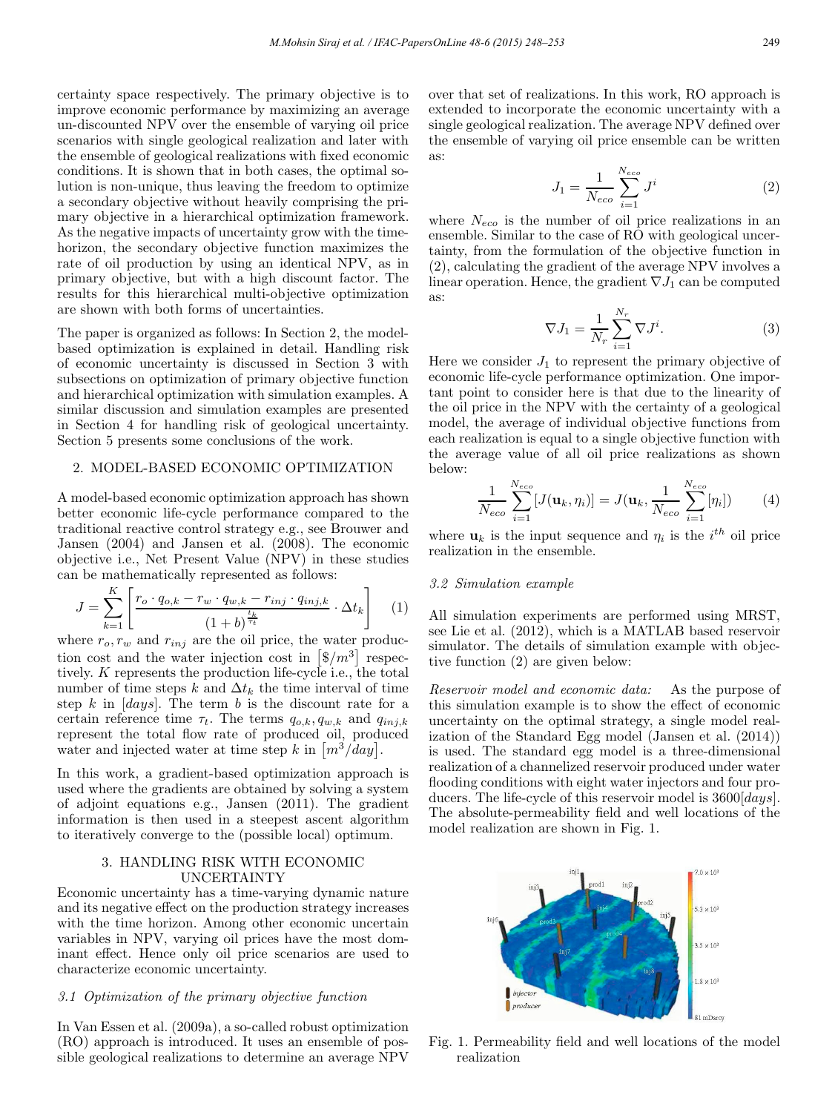certainty space respectively. The primary objective is to improve economic performance by maximizing an average un-discounted NPV over the ensemble of varying oil price scenarios with single geological realization and later with the ensemble of geological realizations with fixed economic conditions. It is shown that in both cases, the optimal solution is non-unique, thus leaving the freedom to optimize a secondary objective without heavily comprising the primary objective in a hierarchical optimization framework. As the negative impacts of uncertainty grow with the timehorizon, the secondary objective function maximizes the rate of oil production by using an identical NPV, as in primary objective, but with a high discount factor. The results for this hierarchical multi-objective optimization are shown with both forms of uncertainties.

The paper is organized as follows: In Section 2, the modelbased optimization is explained in detail. Handling risk of economic uncertainty is discussed in Section 3 with subsections on optimization of primary objective function and hierarchical optimization with simulation examples. A similar discussion and simulation examples are presented in Section 4 for handling risk of geological uncertainty. Section 5 presents some conclusions of the work.

#### 2. MODEL-BASED ECONOMIC OPTIMIZATION

A model-based economic optimization approach has shown better economic life-cycle performance compared to the traditional reactive control strategy e.g., see Brouwer and Jansen (2004) and Jansen et al. (2008). The economic objective i.e., Net Present Value (NPV) in these studies can be mathematically represented as follows:

$$
J = \sum_{k=1}^{K} \left[ \frac{r_o \cdot q_{o,k} - r_w \cdot q_{w,k} - r_{inj} \cdot q_{inj,k}}{(1+b)^{\frac{t_k}{\tau_t}}} \cdot \Delta t_k \right]
$$
 (1)

where  $r_o, r_w$  and  $r_{inj}$  are the oil price, the water production cost and the water injection cost in  $\left[\frac{6}{m^3}\right]$  respectively. K represents the production life-cycle i.e., the total number of time steps k and  $\Delta t_k$  the time interval of time step k in  $[days]$ . The term b is the discount rate for a certain reference time  $\tau_t$ . The terms  $q_{o,k}, q_{w,k}$  and  $q_{inj,k}$ represent the total flow rate of produced oil, produced water and injected water at time step k in  $\left[m^3/\frac{day}{} \right]$ .

In this work, a gradient-based optimization approach is used where the gradients are obtained by solving a system of adjoint equations e.g., Jansen (2011). The gradient information is then used in a steepest ascent algorithm to iteratively converge to the (possible local) optimum.

#### 3. HANDLING RISK WITH ECONOMIC UNCERTAINTY

Economic uncertainty has a time-varying dynamic nature and its negative effect on the production strategy increases with the time horizon. Among other economic uncertain variables in NPV, varying oil prices have the most dominant effect. Hence only oil price scenarios are used to characterize economic uncertainty.

#### 3.1 Optimization of the primary objective function

In Van Essen et al. (2009a), a so-called robust optimization (RO) approach is introduced. It uses an ensemble of possible geological realizations to determine an average NPV

over that set of realizations. In this work, RO approach is extended to incorporate the economic uncertainty with a single geological realization. The average NPV defined over the ensemble of varying oil price ensemble can be written as:

$$
J_1 = \frac{1}{N_{eco}} \sum_{i=1}^{N_{eco}} J^i
$$
 (2)

where  $N_{eco}$  is the number of oil price realizations in an ensemble. Similar to the case of RO with geological uncertainty, from the formulation of the objective function in (2), calculating the gradient of the average NPV involves a linear operation. Hence, the gradient  $\nabla J_1$  can be computed as:

$$
\nabla J_1 = \frac{1}{N_r} \sum_{i=1}^{N_r} \nabla J^i.
$$
 (3)

Here we consider  $J_1$  to represent the primary objective of economic life-cycle performance optimization. One important point to consider here is that due to the linearity of the oil price in the NPV with the certainty of a geological model, the average of individual objective functions from each realization is equal to a single objective function with the average value of all oil price realizations as shown below:

$$
\frac{1}{N_{eco}}\sum_{i=1}^{N_{eco}}[J(\mathbf{u}_k,\eta_i)] = J(\mathbf{u}_k,\frac{1}{N_{eco}}\sum_{i=1}^{N_{eco}}[\eta_i])
$$
(4)

where  $\mathbf{u}_k$  is the input sequence and  $\eta_i$  is the  $i^{th}$  oil price realization in the ensemble.

#### 3.2 Simulation example

All simulation experiments are performed using MRST, see Lie et al. (2012), which is a MATLAB based reservoir simulator. The details of simulation example with objective function (2) are given below:

Reservoir model and economic data: As the purpose of this simulation example is to show the effect of economic uncertainty on the optimal strategy, a single model realization of the Standard Egg model (Jansen et al. (2014)) is used. The standard egg model is a three-dimensional realization of a channelized reservoir produced under water flooding conditions with eight water injectors and four producers. The life-cycle of this reservoir model is  $3600 [days]$ . The absolute-permeability field and well locations of the model realization are shown in Fig. 1.



Fig. 1. Permeability field and well locations of the model realization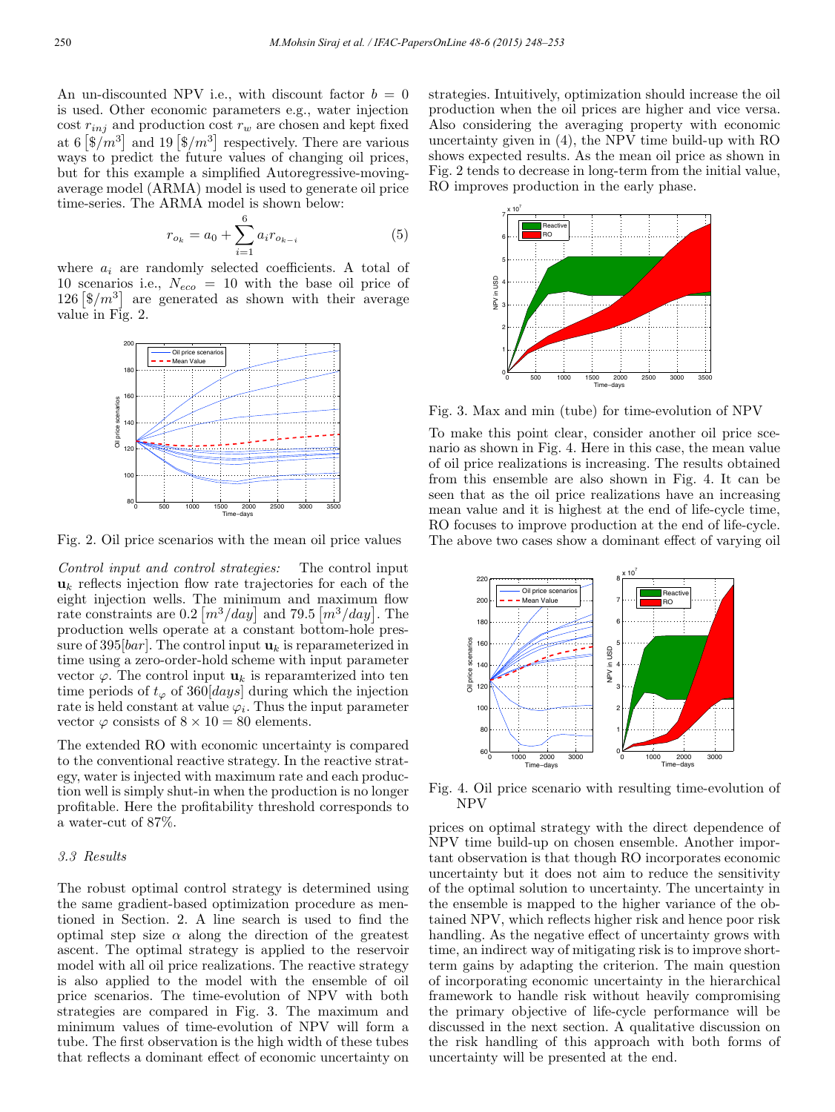An un-discounted NPV i.e., with discount factor  $b = 0$ is used. Other economic parameters e.g., water injection cost  $r_{inj}$  and production cost  $r_w$  are chosen and kept fixed at 6  $\left[\frac{6}{m^3}\right]$  and 19  $\left[\frac{6}{m^3}\right]$  respectively. There are various ways to predict the future values of changing oil prices, but for this example a simplified Autoregressive-movingaverage model (ARMA) model is used to generate oil price time-series. The ARMA model is shown below:

$$
r_{o_k} = a_0 + \sum_{i=1}^{6} a_i r_{o_{k-i}} \tag{5}
$$

where  $a_i$  are randomly selected coefficients. A total of 10 scenarios i.e.,  $N_{eco} = 10$  with the base oil price of 126  $\left[\frac{126}{3}\right]$  are generated as shown with their average value in Fig. 2.



Fig. 2. Oil price scenarios with the mean oil price values

Control input and control strategies: The control input  $u_k$  reflects injection flow rate trajectories for each of the eight injection wells. The minimum and maximum flow rate constraints are  $0.2 \left[ m^3/day \right]$  and 79.5  $\left[ m^3/day \right]$ . The production wells operate at a constant bottom-hole pressure of 395[bar]. The control input  $\mathbf{u}_k$  is reparameterized in time using a zero-order-hold scheme with input parameter vector  $\varphi$ . The control input  $\mathbf{u}_k$  is reparamterized into ten time periods of  $t_{\varphi}$  of 360[*days*] during which the injection rate is held constant at value  $\varphi_i$ . Thus the input parameter vector  $\varphi$  consists of  $8 \times 10 = 80$  elements.

The extended RO with economic uncertainty is compared to the conventional reactive strategy. In the reactive strategy, water is injected with maximum rate and each production well is simply shut-in when the production is no longer profitable. Here the profitability threshold corresponds to a water-cut of 87%.

## 3.3 Results

The robust optimal control strategy is determined using the same gradient-based optimization procedure as mentioned in Section. 2. A line search is used to find the optimal step size  $\alpha$  along the direction of the greatest ascent. The optimal strategy is applied to the reservoir model with all oil price realizations. The reactive strategy is also applied to the model with the ensemble of oil price scenarios. The time-evolution of NPV with both strategies are compared in Fig. 3. The maximum and minimum values of time-evolution of NPV will form a tube. The first observation is the high width of these tubes that reflects a dominant effect of economic uncertainty on strategies. Intuitively, optimization should increase the oil production when the oil prices are higher and vice versa. Also considering the averaging property with economic uncertainty given in (4), the NPV time build-up with RO shows expected results. As the mean oil price as shown in Fig. 2 tends to decrease in long-term from the initial value, RO improves production in the early phase.



Fig. 3. Max and min (tube) for time-evolution of NPV

To make this point clear, consider another oil price scenario as shown in Fig. 4. Here in this case, the mean value of oil price realizations is increasing. The results obtained from this ensemble are also shown in Fig. 4. It can be seen that as the oil price realizations have an increasing mean value and it is highest at the end of life-cycle time, RO focuses to improve production at the end of life-cycle. The above two cases show a dominant effect of varying oil



Fig. 4. Oil price scenario with resulting time-evolution of NPV

prices on optimal strategy with the direct dependence of NPV time build-up on chosen ensemble. Another important observation is that though RO incorporates economic uncertainty but it does not aim to reduce the sensitivity of the optimal solution to uncertainty. The uncertainty in the ensemble is mapped to the higher variance of the obtained NPV, which reflects higher risk and hence poor risk handling. As the negative effect of uncertainty grows with time, an indirect way of mitigating risk is to improve shortterm gains by adapting the criterion. The main question of incorporating economic uncertainty in the hierarchical framework to handle risk without heavily compromising the primary objective of life-cycle performance will be discussed in the next section. A qualitative discussion on the risk handling of this approach with both forms of uncertainty will be presented at the end.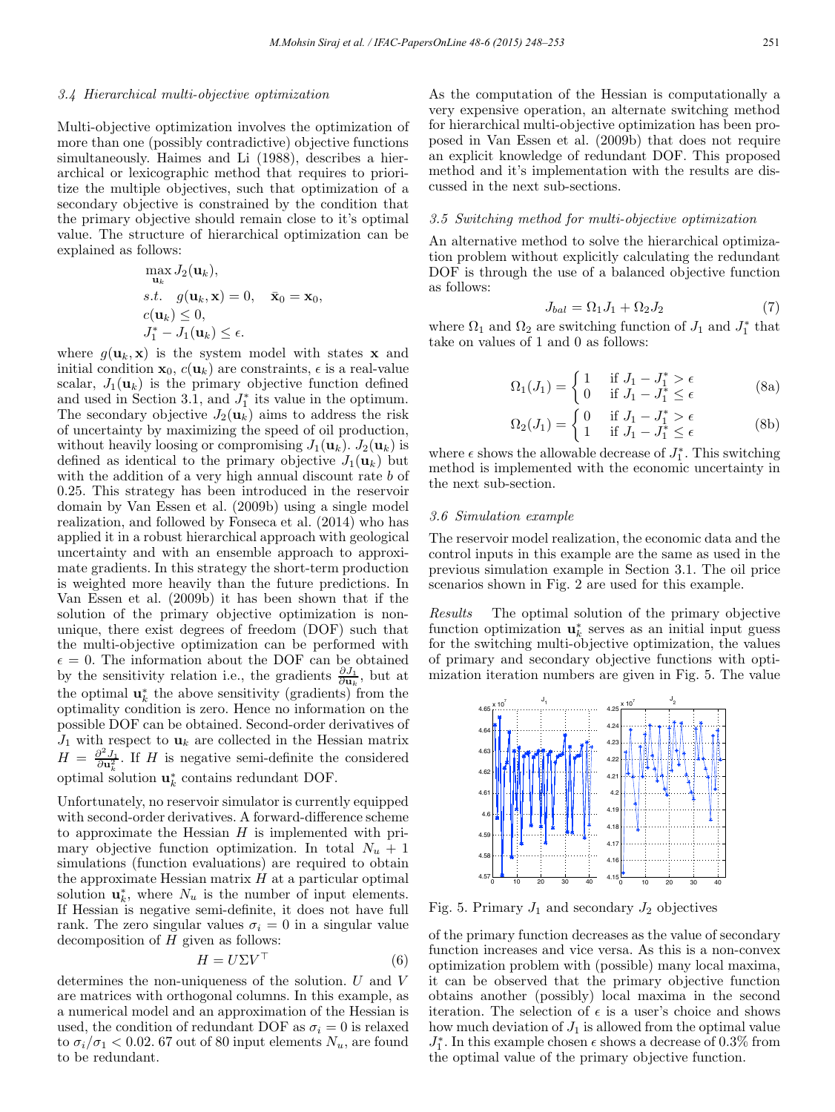#### 3.4 Hierarchical multi-objective optimization

Multi-objective optimization involves the optimization of more than one (possibly contradictive) objective functions simultaneously. Haimes and Li (1988), describes a hierarchical or lexicographic method that requires to prioritize the multiple objectives, such that optimization of a secondary objective is constrained by the condition that the primary objective should remain close to it's optimal value. The structure of hierarchical optimization can be explained as follows:

$$
\max_{\mathbf{u}_k} J_2(\mathbf{u}_k),
$$
  
s.t.  $g(\mathbf{u}_k, \mathbf{x}) = 0, \quad \bar{\mathbf{x}}_0 = \mathbf{x}_0,$   
 $c(\mathbf{u}_k) \le 0,$   
 $J_1^* - J_1(\mathbf{u}_k) \le \epsilon.$ 

where  $g(\mathbf{u}_k, \mathbf{x})$  is the system model with states **x** and initial condition  $\mathbf{x}_0$ ,  $c(\mathbf{u}_k)$  are constraints,  $\epsilon$  is a real-value scalar,  $J_1(\mathbf{u}_k)$  is the primary objective function defined and used in Section 3.1, and  $J_1^*$  its value in the optimum. The secondary objective  $J_2(\mathbf{u}_k)$  aims to address the risk of uncertainty by maximizing the speed of oil production, without heavily loosing or compromising  $J_1(\mathbf{u}_k)$ .  $J_2(\mathbf{u}_k)$  is defined as identical to the primary objective  $J_1(\mathbf{u}_k)$  but with the addition of a very high annual discount rate b of 0.25. This strategy has been introduced in the reservoir domain by Van Essen et al. (2009b) using a single model realization, and followed by Fonseca et al. (2014) who has applied it in a robust hierarchical approach with geological uncertainty and with an ensemble approach to approximate gradients. In this strategy the short-term production is weighted more heavily than the future predictions. In Van Essen et al. (2009b) it has been shown that if the solution of the primary objective optimization is nonunique, there exist degrees of freedom (DOF) such that the multi-objective optimization can be performed with  $\epsilon = 0$ . The information about the DOF can be obtained by the sensitivity relation i.e., the gradients  $\frac{\partial J_1}{\partial \mathbf{u}_k}$ , but at the optimal  $\mathbf{u}_k^*$  the above sensitivity (gradients) from the optimality condition is zero. Hence no information on the possible DOF can be obtained. Second-order derivatives of  $J_1$  with respect to  $\mathbf{u}_k$  are collected in the Hessian matrix  $H = \frac{\partial^2 J_1}{\partial u_k^2}$ . If H is negative semi-definite the considered optimal solution  $\mathbf{u}_k^*$  contains redundant DOF.

Unfortunately, no reservoir simulator is currently equipped with second-order derivatives. A forward-difference scheme to approximate the Hessian  $H$  is implemented with primary objective function optimization. In total  $N_u + 1$ simulations (function evaluations) are required to obtain the approximate Hessian matrix  $H$  at a particular optimal solution  $\mathbf{u}_k^*$ , where  $N_u$  is the number of input elements. If Hessian is negative semi-definite, it does not have full rank. The zero singular values  $\sigma_i = 0$  in a singular value decomposition of  $H$  given as follows:

$$
H = U\Sigma V^{\top}
$$
 (6)

determines the non-uniqueness of the solution. U and V are matrices with orthogonal columns. In this example, as a numerical model and an approximation of the Hessian is used, the condition of redundant DOF as  $\sigma_i = 0$  is relaxed to  $\sigma_i/\sigma_1 < 0.02$ . 67 out of 80 input elements  $N_u$ , are found to be redundant.

As the computation of the Hessian is computationally a very expensive operation, an alternate switching method for hierarchical multi-objective optimization has been proposed in Van Essen et al. (2009b) that does not require an explicit knowledge of redundant DOF. This proposed method and it's implementation with the results are discussed in the next sub-sections.

#### 3.5 Switching method for multi-objective optimization

An alternative method to solve the hierarchical optimization problem without explicitly calculating the redundant DOF is through the use of a balanced objective function as follows:

$$
J_{bal} = \Omega_1 J_1 + \Omega_2 J_2 \tag{7}
$$

where  $\Omega_1$  and  $\Omega_2$  are switching function of  $J_1$  and  $J_1^*$  that take on values of 1 and 0 as follows:

$$
\Omega_1(J_1) = \begin{cases} 1 & \text{if } J_1 - J_1^* > \epsilon \\ 0 & \text{if } J_1 - J_1^* \le \epsilon \end{cases}
$$
 (8a)

$$
\Omega_2(J_1) = \begin{cases} 0 & \text{if } J_1 - J_1^* > \epsilon \\ 1 & \text{if } J_1 - J_1^* \le \epsilon \end{cases}
$$
 (8b)

where  $\epsilon$  shows the allowable decrease of  $J_1^*$ . This switching method is implemented with the economic uncertainty in the next sub-section.

#### 3.6 Simulation example

The reservoir model realization, the economic data and the control inputs in this example are the same as used in the previous simulation example in Section 3.1. The oil price scenarios shown in Fig. 2 are used for this example.

Results The optimal solution of the primary objective function optimization  $\mathbf{u}_k^*$  serves as an initial input guess for the switching multi-objective optimization, the values of primary and secondary objective functions with optimization iteration numbers are given in Fig. 5. The value



Fig. 5. Primary  $J_1$  and secondary  $J_2$  objectives

of the primary function decreases as the value of secondary function increases and vice versa. As this is a non-convex optimization problem with (possible) many local maxima, it can be observed that the primary objective function obtains another (possibly) local maxima in the second iteration. The selection of  $\epsilon$  is a user's choice and shows how much deviation of  $J_1$  is allowed from the optimal value  $J_1^*$ . In this example chosen  $\epsilon$  shows a decrease of 0.3% from the optimal value of the primary objective function.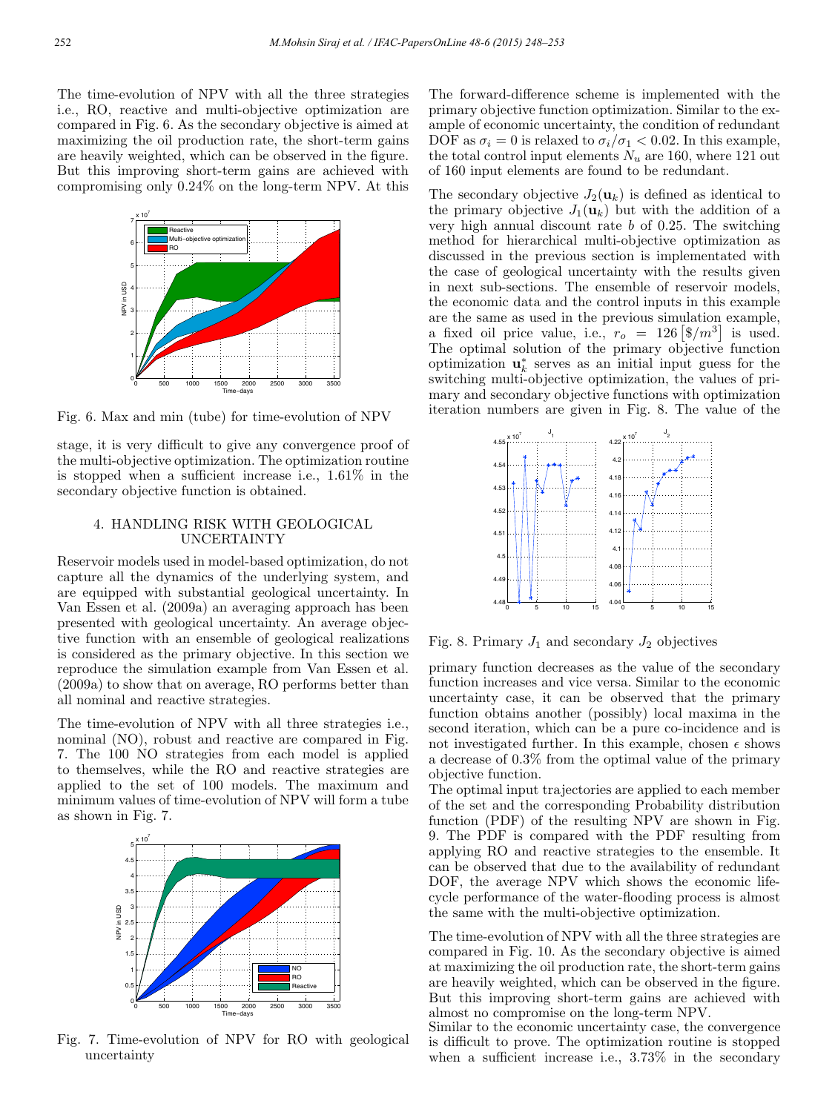The time-evolution of NPV with all the three strategies i.e., RO, reactive and multi-objective optimization are compared in Fig. 6. As the secondary objective is aimed at maximizing the oil production rate, the short-term gains are heavily weighted, which can be observed in the figure. But this improving short-term gains are achieved with compromising only 0.24% on the long-term NPV. At this



Fig. 6. Max and min (tube) for time-evolution of NPV

stage, it is very difficult to give any convergence proof of the multi-objective optimization. The optimization routine is stopped when a sufficient increase i.e., 1.61% in the secondary objective function is obtained.

#### 4. HANDLING RISK WITH GEOLOGICAL UNCERTAINTY

Reservoir models used in model-based optimization, do not capture all the dynamics of the underlying system, and are equipped with substantial geological uncertainty. In Van Essen et al. (2009a) an averaging approach has been presented with geological uncertainty. An average objective function with an ensemble of geological realizations is considered as the primary objective. In this section we reproduce the simulation example from Van Essen et al. (2009a) to show that on average, RO performs better than all nominal and reactive strategies.

The time-evolution of NPV with all three strategies i.e., nominal (NO), robust and reactive are compared in Fig. 7. The 100 NO strategies from each model is applied to themselves, while the RO and reactive strategies are applied to the set of 100 models. The maximum and minimum values of time-evolution of NPV will form a tube as shown in Fig. 7.



Fig. 7. Time-evolution of NPV for RO with geological uncertainty

The forward-difference scheme is implemented with the primary objective function optimization. Similar to the example of economic uncertainty, the condition of redundant DOF as  $\sigma_i = 0$  is relaxed to  $\sigma_i/\sigma_1 < 0.02$ . In this example, the total control input elements  $N_u$  are 160, where 121 out of 160 input elements are found to be redundant.

The secondary objective  $J_2(\mathbf{u}_k)$  is defined as identical to the primary objective  $J_1(\mathbf{u}_k)$  but with the addition of a very high annual discount rate  $b$  of 0.25. The switching method for hierarchical multi-objective optimization as discussed in the previous section is implementated with the case of geological uncertainty with the results given in next sub-sections. The ensemble of reservoir models, the economic data and the control inputs in this example are the same as used in the previous simulation example, a fixed oil price value, i.e.,  $r_o = 126 \left[ \frac{6}{m^3} \right]$  is used. The optimal solution of the primary objective function optimization  $\mathbf{u}_k^*$  serves as an initial input guess for the switching multi-objective optimization, the values of primary and secondary objective functions with optimization iteration numbers are given in Fig. 8. The value of the



Fig. 8. Primary  $J_1$  and secondary  $J_2$  objectives

primary function decreases as the value of the secondary function increases and vice versa. Similar to the economic uncertainty case, it can be observed that the primary function obtains another (possibly) local maxima in the second iteration, which can be a pure co-incidence and is not investigated further. In this example, chosen  $\epsilon$  shows a decrease of 0.3% from the optimal value of the primary objective function.

The optimal input trajectories are applied to each member of the set and the corresponding Probability distribution function (PDF) of the resulting NPV are shown in Fig. 9. The PDF is compared with the PDF resulting from applying RO and reactive strategies to the ensemble. It can be observed that due to the availability of redundant DOF, the average NPV which shows the economic lifecycle performance of the water-flooding process is almost the same with the multi-objective optimization.

The time-evolution of NPV with all the three strategies are compared in Fig. 10. As the secondary objective is aimed at maximizing the oil production rate, the short-term gains are heavily weighted, which can be observed in the figure. But this improving short-term gains are achieved with almost no compromise on the long-term NPV.

Similar to the economic uncertainty case, the convergence is difficult to prove. The optimization routine is stopped when a sufficient increase i.e., 3.73% in the secondary